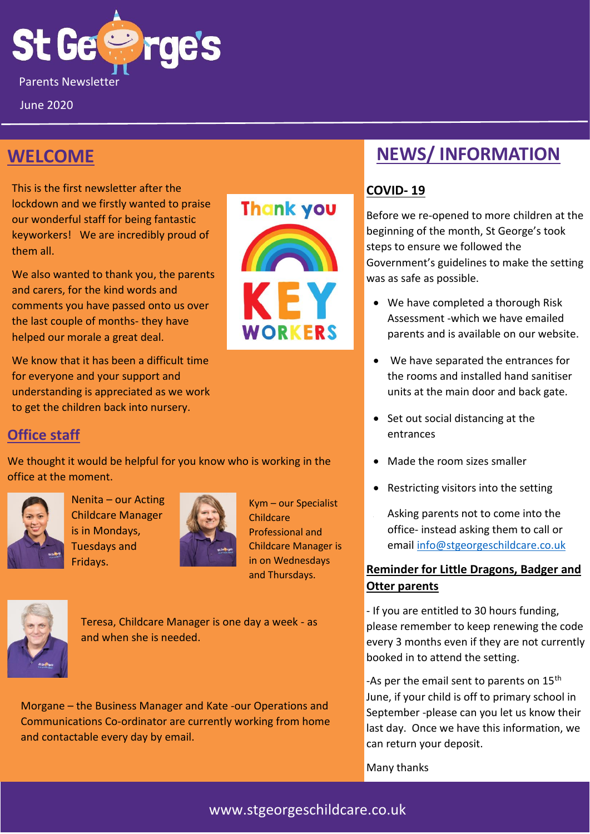

June 2020

## **WELCOME**

This is the first newsletter after the lockdown and we firstly wanted to praise our wonderful staff for being fantastic keyworkers! We are incredibly proud of them all.

We also wanted to thank you, the parents and carers, for the kind words and comments you have passed onto us over the last couple of months- they have helped our morale a great deal.

We know that it has been a difficult time for everyone and your support and understanding is appreciated as we work to get the children back into nursery.



#### **Office staff**

We thought it would be helpful for you know who is working in the office at the moment.



Nenita – our Acting Childcare Manager is in Mondays, Tuesdays and Fridays.



Kym – our Specialist Childcare Professional and Childcare Manager is in on Wednesdays and Thursdays.



Teresa, Childcare Manager is one day a week - as and when she is needed.

Morgane – the Business Manager and Kate -our Operations and Communications Co-ordinator are currently working from home and contactable every day by email.

# **NEWS/ INFORMATION**

#### **COVID- 19**

Before we re-opened to more children at the beginning of the month, St George's took steps to ensure we followed the Government's guidelines to make the setting was as safe as possible.

- We have completed a thorough Risk Assessment -which we have emailed parents and is available on our website.
- We have separated the entrances for the rooms and installed hand sanitiser units at the main door and back gate.
- Set out social distancing at the entrances
- Made the room sizes smaller
- Restricting visitors into the setting
- Asking parents not to come into the office- instead asking them to call or email [info@stgeorgeschildcare.co.uk](mailto:info@stgeorgeschildcare.co.uk)

#### **Reminder for Little Dragons, Badger and Otter parents**

- If you are entitled to 30 hours funding, please remember to keep renewing the code every 3 months even if they are not currently booked in to attend the setting.

-As per the email sent to parents on 15<sup>th</sup> June, if your child is off to primary school in September -please can you let us know their last day. Once we have this information, we can return your deposit.

Many thanks

#### www.stgeorgeschildcare.co.uk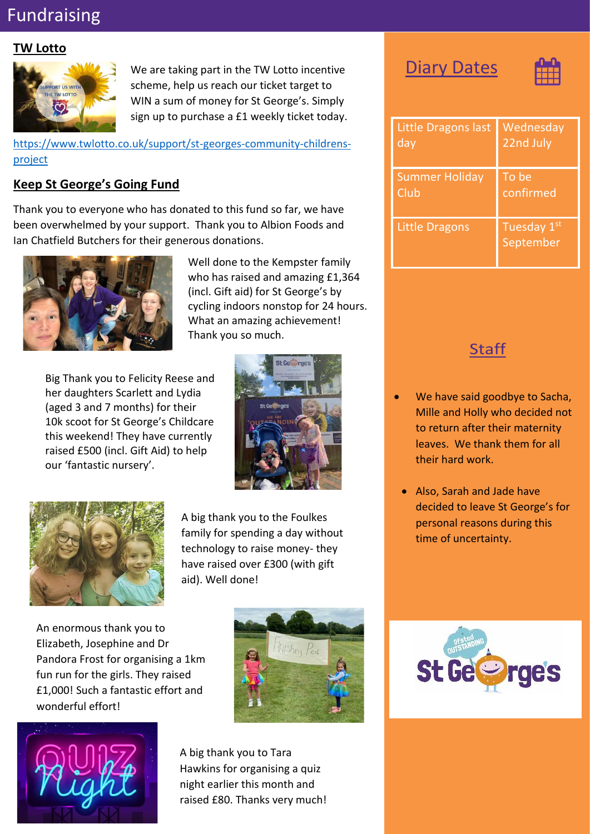# Fundraising

#### **TW Lotto**



We are taking part in the TW Lotto incentive scheme, help us reach our ticket target to WIN a sum of money for St George's. Simply sign up to purchase a £1 weekly ticket today.

[https://www.twlotto.co.uk/support/st-georges-community-childrens](https://www.twlotto.co.uk/support/st-georges-community-childrens-project)[project](https://www.twlotto.co.uk/support/st-georges-community-childrens-project)

#### **Keep St George's Going Fund**

Thank you to everyone who has donated to this fund so far, we have been overwhelmed by your support. Thank you to Albion Foods and Ian Chatfield Butchers for their generous donations.



Well done to the Kempster family who has raised and amazing £1,364 (incl. Gift aid) for St George's by cycling indoors nonstop for 24 hours. What an amazing achievement! Thank you so much.

Big Thank you to Felicity Reese and her daughters Scarlett and Lydia (aged 3 and 7 months) for their 10k scoot for St George's Childcare this weekend! They have currently raised £500 (incl. Gift Aid) to help our 'fantastic nursery'.





A big thank you to the Foulkes family for spending a day without technology to raise money- they have raised over £300 (with gift aid). Well done!

An enormous thank you to Elizabeth, Josephine and Dr Pandora Frost for organising a 1km fun run for the girls. They raised £1,000! Such a fantastic effort and wonderful effort!





A big thank you to Tara Hawkins for organising a quiz night earlier this month and raised £80. Thanks very much!

## **Diary Dates**



| <b>Little Dragons last</b> | Wednesday                |
|----------------------------|--------------------------|
| day                        | 22nd July                |
| <b>Summer Holiday</b>      | To be                    |
| Club                       | confirmed                |
| <b>Little Dragons</b>      | Tuesday 1st<br>September |

#### **Staff**

- We have said goodbye to Sacha, Mille and Holly who decided not to return after their maternity leaves. We thank them for all their hard work.
- Also, Sarah and Jade have decided to leave St George's for personal reasons during this time of uncertainty.

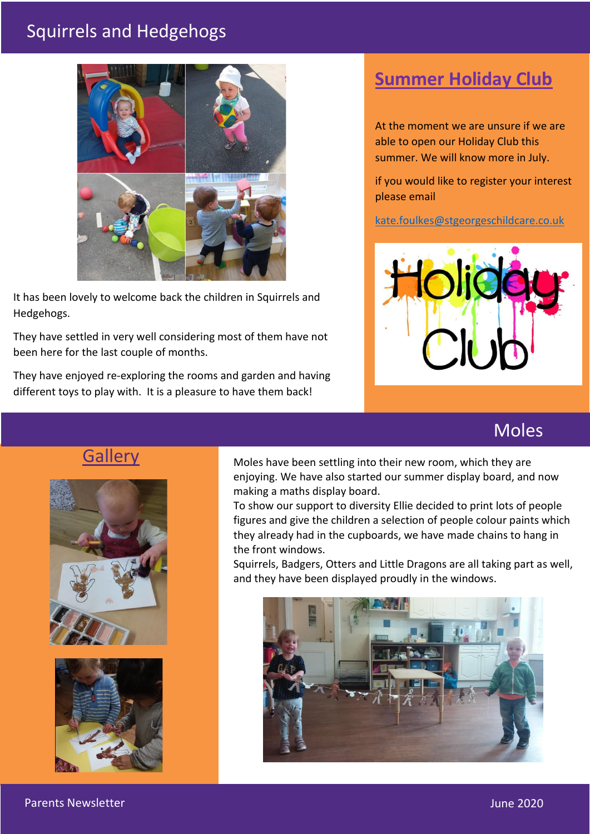# Squirrels and Hedgehogs



It has been lovely to welcome back the children in Squirrels and Hedgehogs.

They have settled in very well considering most of them have not been here for the last couple of months.

They have enjoyed re-exploring the rooms and garden and having different toys to play with. It is a pleasure to have them back!

# **Summer Holiday Club**

At the moment we are unsure if we are able to open our Holiday Club this summer. We will know more in July.

if you would like to register your interest please email

[kate.foulkes@stgeorgeschildcare.co.uk](mailto:kate.foulkes@stgeorgeschildcare.co.uk)



## Moles

## **Gallery**





Moles have been settling into their new room, which they are enjoying. We have also started our summer display board, and now making a maths display board.

To show our support to diversity Ellie decided to print lots of people figures and give the children a selection of people colour paints which they already had in the cupboards, we have made chains to hang in the front windows.

Squirrels, Badgers, Otters and Little Dragons are all taking part as well, and they have been displayed proudly in the windows.